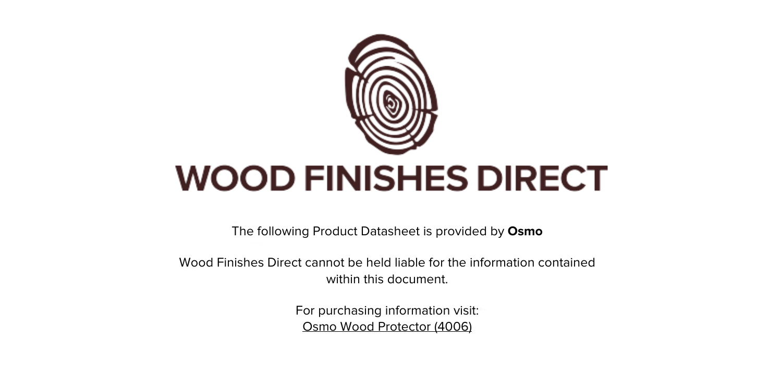

The following Product Datasheet is provided by **Osmo**

Wood Finishes Direct cannot be held liable for the information contained within this document.

> For purchasing information visit: [Osmo Wood Protector \(4006\)](https://www.wood-finishes-direct.com/product/osmo-wood-protector)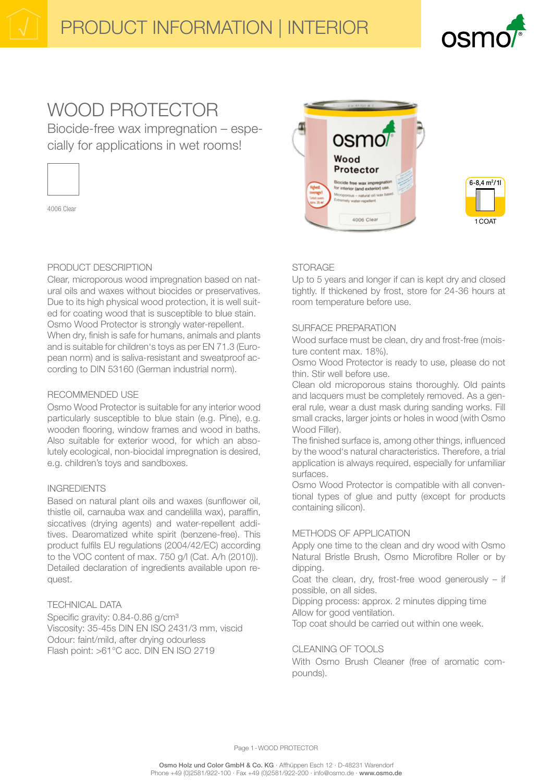1 COAT

# WOOD PROTECTOR

Biocide-free wax impregnation - especially for applications in wet rooms!



4006 Clear

# PRODUCT DESCRIPTION

Clear, microporous wood impregnation based on natural oils and waxes without biocides or preservatives. Due to its high physical wood protection, it is well suited for coating wood that is susceptible to blue stain. Osmo Wood Protector is strongly water-repellent. When dry, finish is safe for humans, animals and plants and is suitable for children's toys as per EN 71.3 (European norm) and is saliva-resistant and sweatproof according to DIN 53160 (German industrial norm).

# RECOMMENDED USE

Osmo Wood Protector is suitable for any interior wood particularly susceptible to blue stain (e.g. Pine), e.g. wooden flooring, window frames and wood in baths. Also suitable for exterior wood, for which an absolutely ecological, non-biocidal impregnation is desired, e.g. children's toys and sandboxes.

# **INGREDIENTS**

Based on natural plant oils and waxes (sunflower oil. thistle oil, carnauba wax and candelilla wax), paraffin, siccatives (drying agents) and water-repellent additives. Dearomatized white spirit (benzene-free). This product fulfils EU regulations (2004/42/EC) according to the VOC content of max. 750 g/l (Cat. A/h (2010)). Detailed declaration of ingredients available upon request.

# **TECHNICAL DATA**

Specific gravity: 0.84-0.86 g/cm<sup>3</sup> Viscosity: 35-45s DIN EN ISO 2431/3 mm, viscid Odour: faint/mild, after drying odourless Flash point: >61°C acc. DIN EN ISO 2719



# **STORAGE**

Up to 5 years and longer if can is kept dry and closed tightly. If thickened by frost, store for 24-36 hours at room temperature before use.

# SURFACE PREPARATION

Wood surface must be clean, dry and frost-free (moisture content max. 18%).

Osmo Wood Protector is ready to use, please do not thin. Stir well before use.

Clean old microporous stains thoroughly. Old paints and lacquers must be completely removed. As a general rule, wear a dust mask during sanding works. Fill small cracks, larger joints or holes in wood (with Osmo Wood Filler).

The finished surface is, among other things, influenced by the wood's natural characteristics. Therefore, a trial application is always required, especially for unfamiliar surfaces.

Osmo Wood Protector is compatible with all conventional types of glue and putty (except for products containing silicon).

# METHODS OF APPLICATION

Apply one time to the clean and dry wood with Osmo Natural Bristle Brush, Osmo Microfibre Roller or by dippina.

Coat the clean, dry, frost-free wood generously - if possible, on all sides.

Dipping process: approx. 2 minutes dipping time Allow for good ventilation.

Top coat should be carried out within one week.

# CLEANING OF TOOLS

With Osmo Brush Cleaner (free of aromatic compounds).